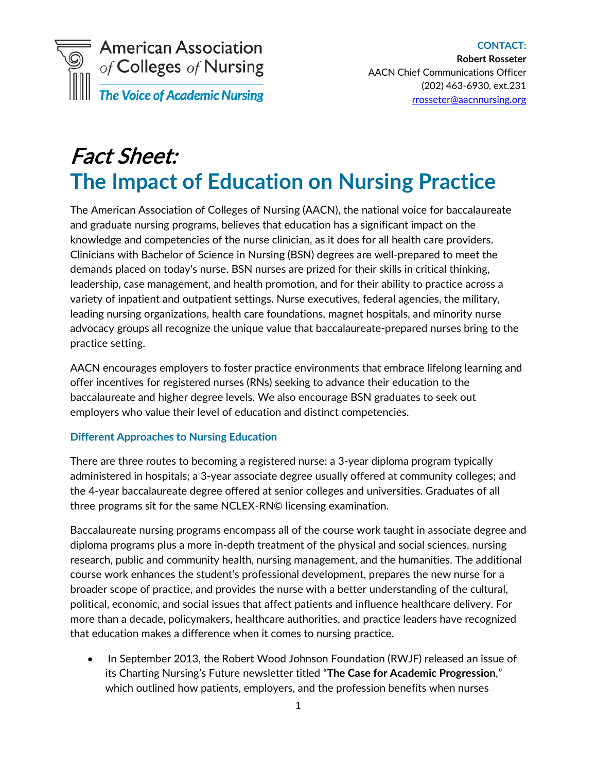

# Fact Sheet: **The Impact of Education on Nursing Practice**

The American Association of Colleges of Nursing (AACN), the national voice for baccalaureate and graduate nursing programs, believes that education has a significant impact on the knowledge and competencies of the nurse clinician, as it does for all health care providers. Clinicians with Bachelor of Science in Nursing (BSN) degrees are well-prepared to meet the demands placed on today's nurse. BSN nurses are prized for their skills in critical thinking, leadership, case management, and health promotion, and for their ability to practice across a variety of inpatient and outpatient settings. Nurse executives, federal agencies, the military, leading nursing organizations, health care foundations, magnet hospitals, and minority nurse advocacy groups all recognize the unique value that baccalaureate-prepared nurses bring to the practice setting.

AACN encourages employers to foster practice environments that embrace lifelong learning and offer incentives for registered nurses (RNs) seeking to advance their education to the baccalaureate and higher degree levels. We also encourage BSN graduates to seek out employers who value their level of education and distinct competencies.

#### **Different Approaches to Nursing Education**

There are three routes to becoming a registered nurse: a 3-year diploma program typically administered in hospitals; a 3-year associate degree usually offered at community colleges; and the 4-year baccalaureate degree offered at senior colleges and universities. Graduates of all three programs sit for the same NCLEX-RN© licensing examination.

Baccalaureate nursing programs encompass all of the course work taught in associate degree and diploma programs plus a more in-depth treatment of the physical and social sciences, nursing research, public and community health, nursing management, and the humanities. The additional course work enhances the student's professional development, prepares the new nurse for a broader scope of practice, and provides the nurse with a better understanding of the cultural, political, economic, and social issues that affect patients and influence healthcare delivery. For more than a decade, policymakers, healthcare authorities, and practice leaders have recognized that education makes a difference when it comes to nursing practice.

• In September 2013, the Robert Wood Johnson Foundation (RWJF) released an issue of its Charting Nursing's Future newsletter titled "**The Case for Academic Progression**," which outlined how patients, employers, and the profession benefits when nurses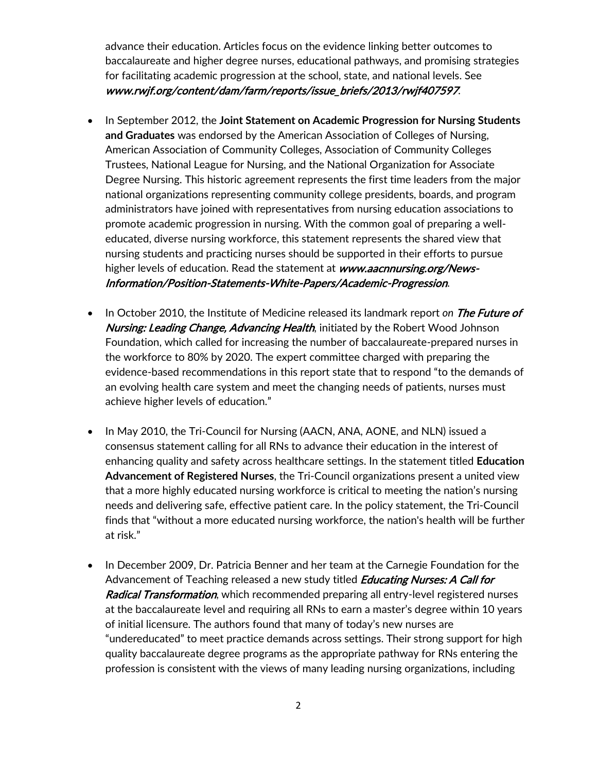advance their education. Articles focus on the evidence linking better outcomes to baccalaureate and higher degree nurses, educational pathways, and promising strategies for facilitating academic progression at the school, state, and national levels. See www.rwjf.org/content/dam/farm/reports/issue\_briefs/2013/rwjf407597.

- In September 2012, the **Joint Statement on Academic Progression for Nursing Students and Graduates** was endorsed by the American Association of Colleges of Nursing, American Association of Community Colleges, Association of Community Colleges Trustees, National League for Nursing, and the National Organization for Associate Degree Nursing. This historic agreement represents the first time leaders from the major national organizations representing community college presidents, boards, and program administrators have joined with representatives from nursing education associations to promote academic progression in nursing. With the common goal of preparing a welleducated, diverse nursing workforce, this statement represents the shared view that nursing students and practicing nurses should be supported in their efforts to pursue higher levels of education. Read the statement at www.aacnnursing.org/News-Information/Position-Statements-White-Papers/Academic-Progression.
- In October 2010, the Institute of Medicine released its landmark report on The Future of Nursing: Leading Change, Advancing Health, initiated by the Robert Wood Johnson Foundation, which called for increasing the number of baccalaureate-prepared nurses in the workforce to 80% by 2020. The expert committee charged with preparing the evidence-based recommendations in this report state that to respond "to the demands of an evolving health care system and meet the changing needs of patients, nurses must achieve higher levels of education."
- In May 2010, the Tri-Council for Nursing (AACN, ANA, AONE, and NLN) issued a consensus statement calling for all RNs to advance their education in the interest of enhancing quality and safety across healthcare settings. In the statement titled **Education Advancement of Registered Nurses**, the Tri-Council organizations present a united view that a more highly educated nursing workforce is critical to meeting the nation's nursing needs and delivering safe, effective patient care. In the policy statement, the Tri-Council finds that "without a more educated nursing workforce, the nation's health will be further at risk."
- In December 2009, Dr. Patricia Benner and her team at the Carnegie Foundation for the Advancement of Teaching released a new study titled **Educating Nurses: A Call for** Radical Transformation, which recommended preparing all entry-level registered nurses at the baccalaureate level and requiring all RNs to earn a master's degree within 10 years of initial licensure. The authors found that many of today's new nurses are "undereducated" to meet practice demands across settings. Their strong support for high quality baccalaureate degree programs as the appropriate pathway for RNs entering the profession is consistent with the views of many leading nursing organizations, including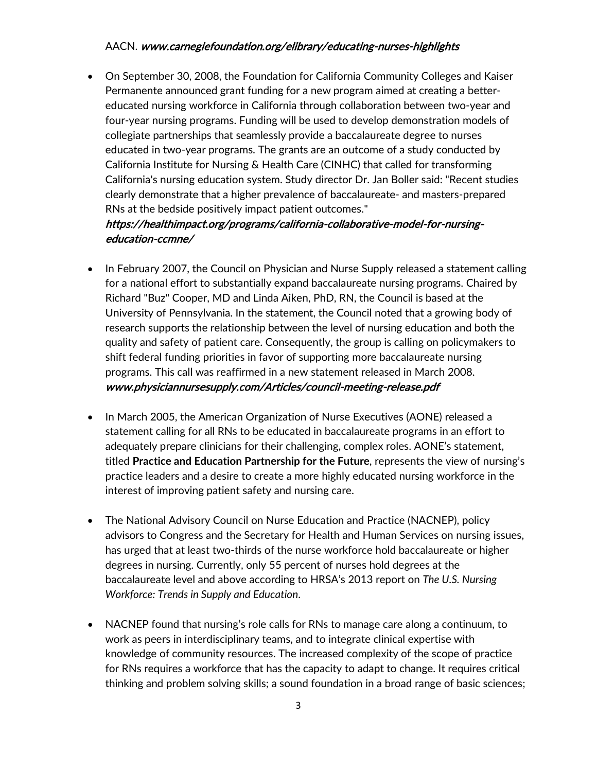### AACN. www.carnegiefoundation.org/elibrary/educating-nurses-highlights

• On September 30, 2008, the Foundation for California Community Colleges and Kaiser Permanente announced grant funding for a new program aimed at creating a bettereducated nursing workforce in California through collaboration between two-year and four-year nursing programs. Funding will be used to develop demonstration models of collegiate partnerships that seamlessly provide a baccalaureate degree to nurses educated in two-year programs. The grants are an outcome of a study conducted by California Institute for Nursing & Health Care (CINHC) that called for transforming California's nursing education system. Study director Dr. Jan Boller said: "Recent studies clearly demonstrate that a higher prevalence of baccalaureate- and masters-prepared RNs at the bedside positively impact patient outcomes."

## https://healthimpact.org/programs/california-collaborative-model-for-nursingeducation-ccmne/

- In February 2007, the Council on Physician and Nurse Supply released a statement calling for a national effort to substantially expand baccalaureate nursing programs. Chaired by Richard "Buz" Cooper, MD and Linda Aiken, PhD, RN, the Council is based at the University of Pennsylvania. In the statement, the Council noted that a growing body of research supports the relationship between the level of nursing education and both the quality and safety of patient care. Consequently, the group is calling on policymakers to shift federal funding priorities in favor of supporting more baccalaureate nursing programs. This call was reaffirmed in a new statement released in March 2008. www.physiciannursesupply.com/Articles/council-meeting-release.pdf
- In March 2005, the American Organization of Nurse Executives (AONE) released a statement calling for all RNs to be educated in baccalaureate programs in an effort to adequately prepare clinicians for their challenging, complex roles. AONE's statement, titled **Practice and Education Partnership for the Future**, represents the view of nursing's practice leaders and a desire to create a more highly educated nursing workforce in the interest of improving patient safety and nursing care.
- The National Advisory Council on Nurse Education and Practice (NACNEP), policy advisors to Congress and the Secretary for Health and Human Services on nursing issues, has urged that at least two-thirds of the nurse workforce hold baccalaureate or higher degrees in nursing. Currently, only 55 percent of nurses hold degrees at the baccalaureate level and above according to HRSA's 2013 report on *The U.S. Nursing Workforce: Trends in Supply and Education*.
- NACNEP found that nursing's role calls for RNs to manage care along a continuum, to work as peers in interdisciplinary teams, and to integrate clinical expertise with knowledge of community resources. The increased complexity of the scope of practice for RNs requires a workforce that has the capacity to adapt to change. It requires critical thinking and problem solving skills; a sound foundation in a broad range of basic sciences;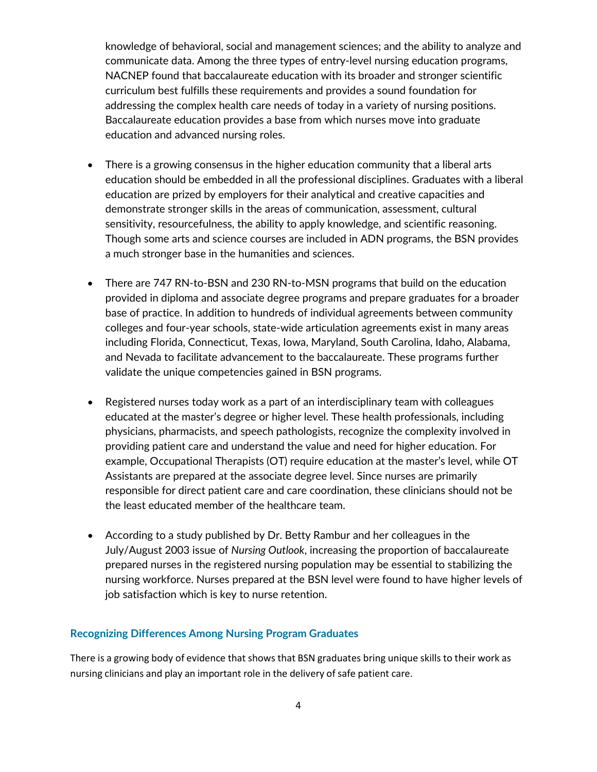knowledge of behavioral, social and management sciences; and the ability to analyze and communicate data. Among the three types of entry-level nursing education programs, NACNEP found that baccalaureate education with its broader and stronger scientific curriculum best fulfills these requirements and provides a sound foundation for addressing the complex health care needs of today in a variety of nursing positions. Baccalaureate education provides a base from which nurses move into graduate education and advanced nursing roles.

- There is a growing consensus in the higher education community that a liberal arts education should be embedded in all the professional disciplines. Graduates with a liberal education are prized by employers for their analytical and creative capacities and demonstrate stronger skills in the areas of communication, assessment, cultural sensitivity, resourcefulness, the ability to apply knowledge, and scientific reasoning. Though some arts and science courses are included in ADN programs, the BSN provides a much stronger base in the humanities and sciences.
- There are 747 RN-to-BSN and 230 RN-to-MSN programs that build on the education provided in diploma and associate degree programs and prepare graduates for a broader base of practice. In addition to hundreds of individual agreements between community colleges and four-year schools, state-wide articulation agreements exist in many areas including Florida, Connecticut, Texas, Iowa, Maryland, South Carolina, Idaho, Alabama, and Nevada to facilitate advancement to the baccalaureate. These programs further validate the unique competencies gained in BSN programs.
- Registered nurses today work as a part of an interdisciplinary team with colleagues educated at the master's degree or higher level. These health professionals, including physicians, pharmacists, and speech pathologists, recognize the complexity involved in providing patient care and understand the value and need for higher education. For example, Occupational Therapists (OT) require education at the master's level, while OT Assistants are prepared at the associate degree level. Since nurses are primarily responsible for direct patient care and care coordination, these clinicians should not be the least educated member of the healthcare team.
- According to a study published by Dr. Betty Rambur and her colleagues in the July/August 2003 issue of *Nursing Outlook*, increasing the proportion of baccalaureate prepared nurses in the registered nursing population may be essential to stabilizing the nursing workforce. Nurses prepared at the BSN level were found to have higher levels of job satisfaction which is key to nurse retention.

#### **Recognizing Differences Among Nursing Program Graduates**

There is a growing body of evidence that shows that BSN graduates bring unique skills to their work as nursing clinicians and play an important role in the delivery of safe patient care.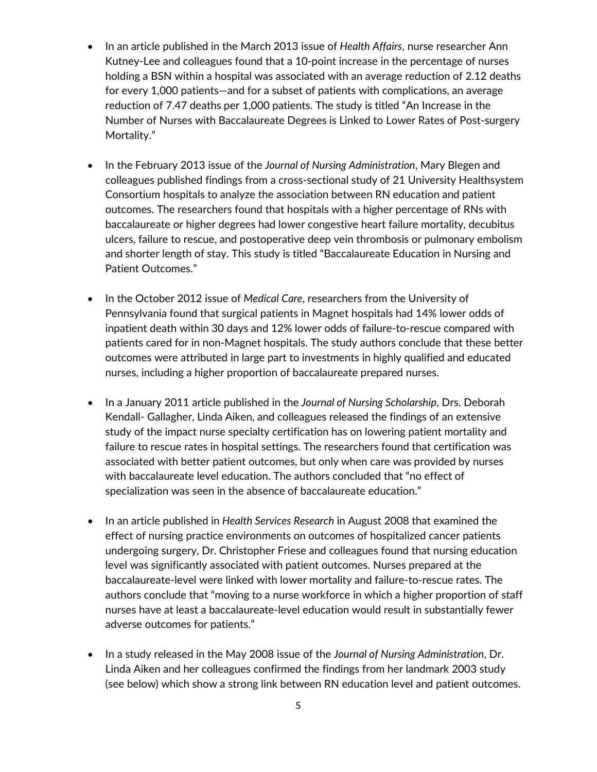- In an article published in the March 2013 issue of *Health Affairs*, nurse researcher Ann Kutney-Lee and colleagues found that a 10-point increase in the percentage of nurses holding a BSN within a hospital was associated with an average reduction of 2.12 deaths for every 1,000 patients—and for a subset of patients with complications, an average reduction of 7.47 deaths per 1,000 patients. The study is titled "An Increase in the Number of Nurses with Baccalaureate Degrees is Linked to Lower Rates of Post-surgery Mortality."
- In the February 2013 issue of the *Journal of Nursing Administration*, Mary Blegen and colleagues published findings from a cross-sectional study of 21 University Healthsystem Consortium hospitals to analyze the association between RN education and patient outcomes. The researchers found that hospitals with a higher percentage of RNs with baccalaureate or higher degrees had lower congestive heart failure mortality, decubitus ulcers, failure to rescue, and postoperative deep vein thrombosis or pulmonary embolism and shorter length of stay. This study is titled "Baccalaureate Education in Nursing and Patient Outcomes."
- In the October 2012 issue of *Medical Care*, researchers from the University of Pennsylvania found that surgical patients in Magnet hospitals had 14% lower odds of inpatient death within 30 days and 12% lower odds of failure-to-rescue compared with patients cared for in non-Magnet hospitals. The study authors conclude that these better outcomes were attributed in large part to investments in highly qualified and educated nurses, including a higher proportion of baccalaureate prepared nurses.
- In a January 2011 article published in the *Journal of Nursing Scholarship*, Drs. Deborah Kendall- Gallagher, Linda Aiken, and colleagues released the findings of an extensive study of the impact nurse specialty certification has on lowering patient mortality and failure to rescue rates in hospital settings. The researchers found that certification was associated with better patient outcomes, but only when care was provided by nurses with baccalaureate level education. The authors concluded that "no effect of specialization was seen in the absence of baccalaureate education."
- In an article published in *Health Services Research* in August 2008 that examined the effect of nursing practice environments on outcomes of hospitalized cancer patients undergoing surgery, Dr. Christopher Friese and colleagues found that nursing education level was significantly associated with patient outcomes. Nurses prepared at the baccalaureate-level were linked with lower mortality and failure-to-rescue rates. The authors conclude that "moving to a nurse workforce in which a higher proportion of staff nurses have at least a baccalaureate-level education would result in substantially fewer adverse outcomes for patients."
- In a study released in the May 2008 issue of the *Journal of Nursing Administration*, Dr. Linda Aiken and her colleagues confirmed the findings from her landmark 2003 study (see below) which show a strong link between RN education level and patient outcomes.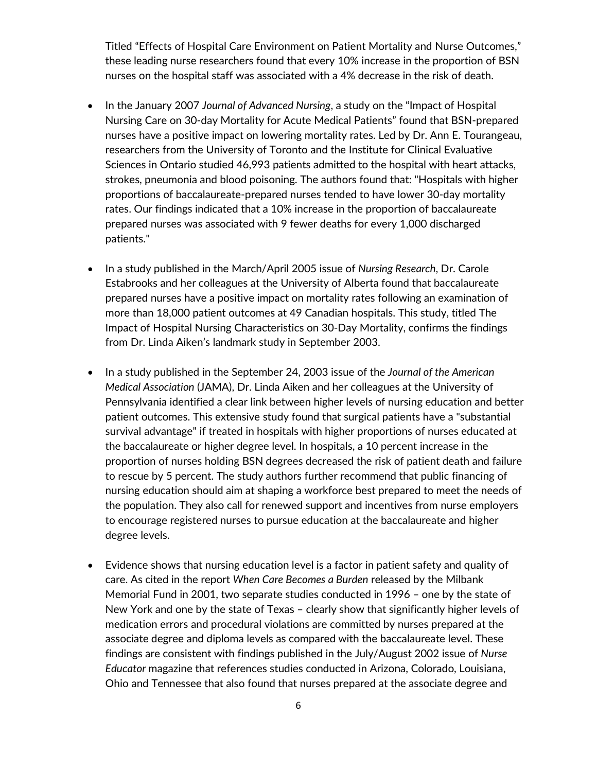Titled "Effects of Hospital Care Environment on Patient Mortality and Nurse Outcomes," these leading nurse researchers found that every 10% increase in the proportion of BSN nurses on the hospital staff was associated with a 4% decrease in the risk of death.

- In the January 2007 *Journal of Advanced Nursing*, a study on the "Impact of Hospital Nursing Care on 30-day Mortality for Acute Medical Patients" found that BSN-prepared nurses have a positive impact on lowering mortality rates. Led by Dr. Ann E. Tourangeau, researchers from the University of Toronto and the Institute for Clinical Evaluative Sciences in Ontario studied 46,993 patients admitted to the hospital with heart attacks, strokes, pneumonia and blood poisoning. The authors found that: "Hospitals with higher proportions of baccalaureate-prepared nurses tended to have lower 30-day mortality rates. Our findings indicated that a 10% increase in the proportion of baccalaureate prepared nurses was associated with 9 fewer deaths for every 1,000 discharged patients."
- In a study published in the March/April 2005 issue of *Nursing Research*, Dr. Carole Estabrooks and her colleagues at the University of Alberta found that baccalaureate prepared nurses have a positive impact on mortality rates following an examination of more than 18,000 patient outcomes at 49 Canadian hospitals. This study, titled The Impact of Hospital Nursing Characteristics on 30-Day Mortality, confirms the findings from Dr. Linda Aiken's landmark study in September 2003.
- In a study published in the September 24, 2003 issue of the *Journal of the American Medical Association* (JAMA), Dr. Linda Aiken and her colleagues at the University of Pennsylvania identified a clear link between higher levels of nursing education and better patient outcomes. This extensive study found that surgical patients have a "substantial survival advantage" if treated in hospitals with higher proportions of nurses educated at the baccalaureate or higher degree level. In hospitals, a 10 percent increase in the proportion of nurses holding BSN degrees decreased the risk of patient death and failure to rescue by 5 percent. The study authors further recommend that public financing of nursing education should aim at shaping a workforce best prepared to meet the needs of the population. They also call for renewed support and incentives from nurse employers to encourage registered nurses to pursue education at the baccalaureate and higher degree levels.
- Evidence shows that nursing education level is a factor in patient safety and quality of care. As cited in the report *When Care Becomes a Burden* released by the Milbank Memorial Fund in 2001, two separate studies conducted in 1996 – one by the state of New York and one by the state of Texas – clearly show that significantly higher levels of medication errors and procedural violations are committed by nurses prepared at the associate degree and diploma levels as compared with the baccalaureate level. These findings are consistent with findings published in the July/August 2002 issue of *Nurse Educator* magazine that references studies conducted in Arizona, Colorado, Louisiana, Ohio and Tennessee that also found that nurses prepared at the associate degree and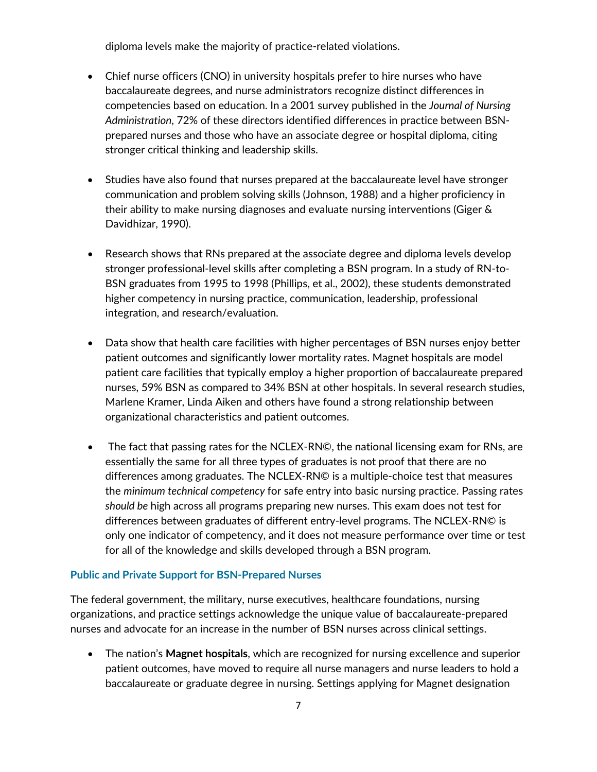diploma levels make the majority of practice-related violations.

- Chief nurse officers (CNO) in university hospitals prefer to hire nurses who have baccalaureate degrees, and nurse administrators recognize distinct differences in competencies based on education. In a 2001 survey published in the *Journal of Nursing Administration*, 72% of these directors identified differences in practice between BSNprepared nurses and those who have an associate degree or hospital diploma, citing stronger critical thinking and leadership skills.
- Studies have also found that nurses prepared at the baccalaureate level have stronger communication and problem solving skills (Johnson, 1988) and a higher proficiency in their ability to make nursing diagnoses and evaluate nursing interventions (Giger & Davidhizar, 1990).
- Research shows that RNs prepared at the associate degree and diploma levels develop stronger professional-level skills after completing a BSN program. In a study of RN-to-BSN graduates from 1995 to 1998 (Phillips, et al., 2002), these students demonstrated higher competency in nursing practice, communication, leadership, professional integration, and research/evaluation.
- Data show that health care facilities with higher percentages of BSN nurses enjoy better patient outcomes and significantly lower mortality rates. Magnet hospitals are model patient care facilities that typically employ a higher proportion of baccalaureate prepared nurses, 59% BSN as compared to 34% BSN at other hospitals. In several research studies, Marlene Kramer, Linda Aiken and others have found a strong relationship between organizational characteristics and patient outcomes.
- The fact that passing rates for the NCLEX-RN©, the national licensing exam for RNs, are essentially the same for all three types of graduates is not proof that there are no differences among graduates. The NCLEX-RN© is a multiple-choice test that measures the *minimum technical competency* for safe entry into basic nursing practice. Passing rates *should be* high across all programs preparing new nurses. This exam does not test for differences between graduates of different entry-level programs. The NCLEX-RN© is only one indicator of competency, and it does not measure performance over time or test for all of the knowledge and skills developed through a BSN program.

#### **Public and Private Support for BSN-Prepared Nurses**

The federal government, the military, nurse executives, healthcare foundations, nursing organizations, and practice settings acknowledge the unique value of baccalaureate-prepared nurses and advocate for an increase in the number of BSN nurses across clinical settings.

• The nation's **Magnet hospitals**, which are recognized for nursing excellence and superior patient outcomes, have moved to require all nurse managers and nurse leaders to hold a baccalaureate or graduate degree in nursing. Settings applying for Magnet designation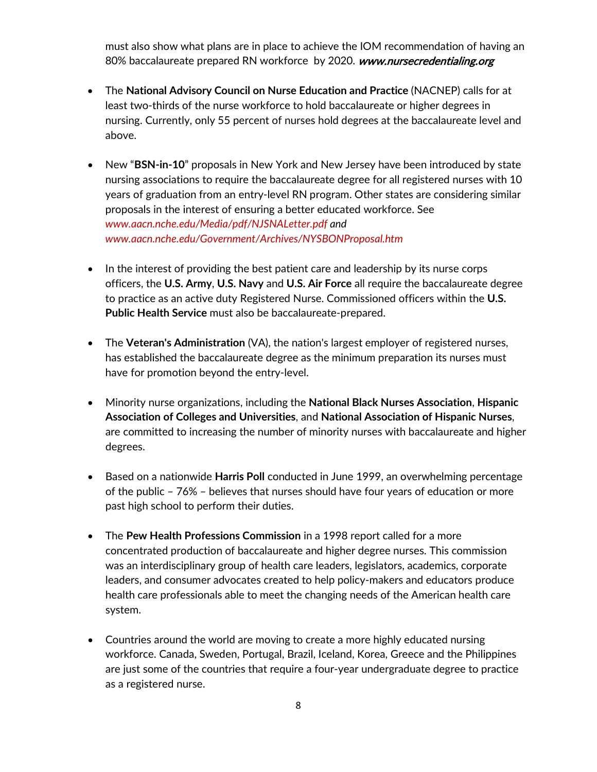must also show what plans are in place to achieve the IOM recommendation of having an 80% baccalaureate prepared RN workforce by 2020. [www.nursecredentialing.org](http://www.nursecredentialing.org/)

- The **National Advisory Council on Nurse Education and Practice** (NACNEP) calls for at least two-thirds of the nurse workforce to hold baccalaureate or higher degrees in nursing. Currently, only 55 percent of nurses hold degrees at the baccalaureate level and above.
- New "**BSN-in-10**" proposals in New York and New Jersey have been introduced by state nursing associations to require the baccalaureate degree for all registered nurses with 10 years of graduation from an entry-level RN program. Other states are considering similar proposals in the interest of ensuring a better educated workforce. See *www.aacn.nche.edu/Media/pdf/NJSNALetter.pdf and www.aacn.nche.edu/Government/Archives/NYSBONProposal.htm*
- In the interest of providing the best patient care and leadership by its nurse corps officers, the **U.S. Army**, **U.S. Navy** and **U.S. Air Force** all require the baccalaureate degree to practice as an active duty Registered Nurse. Commissioned officers within the **U.S. Public Health Service** must also be baccalaureate-prepared.
- The **Veteran's Administration** (VA), the nation's largest employer of registered nurses, has established the baccalaureate degree as the minimum preparation its nurses must have for promotion beyond the entry-level.
- Minority nurse organizations, including the **National Black Nurses Association**, **Hispanic Association of Colleges and Universities**, and **National Association of Hispanic Nurses**, are committed to increasing the number of minority nurses with baccalaureate and higher degrees.
- Based on a nationwide **Harris Poll** conducted in June 1999, an overwhelming percentage of the public – 76% – believes that nurses should have four years of education or more past high school to perform their duties.
- The **Pew Health Professions Commission** in a 1998 report called for a more concentrated production of baccalaureate and higher degree nurses. This commission was an interdisciplinary group of health care leaders, legislators, academics, corporate leaders, and consumer advocates created to help policy-makers and educators produce health care professionals able to meet the changing needs of the American health care system.
- Countries around the world are moving to create a more highly educated nursing workforce. Canada, Sweden, Portugal, Brazil, Iceland, Korea, Greece and the Philippines are just some of the countries that require a four-year undergraduate degree to practice as a registered nurse.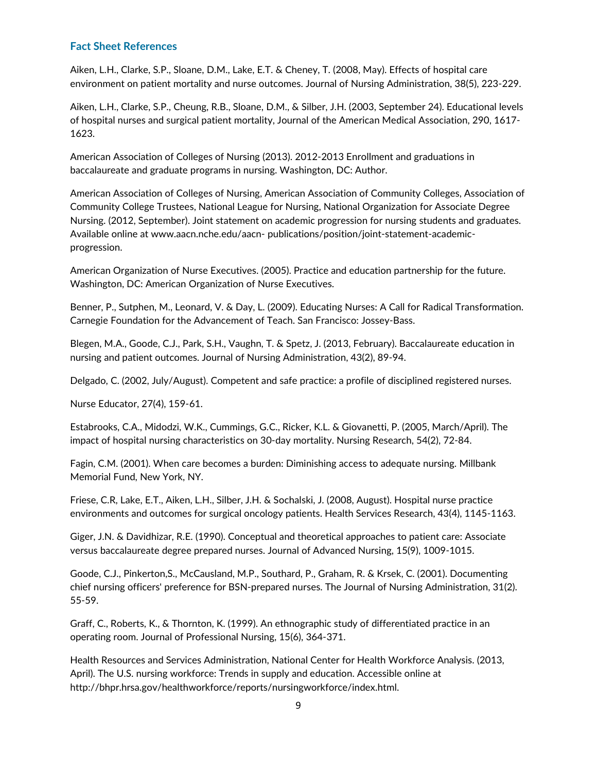#### **Fact Sheet References**

Aiken, L.H., Clarke, S.P., Sloane, D.M., Lake, E.T. & Cheney, T. (2008, May). Effects of hospital care environment on patient mortality and nurse outcomes. Journal of Nursing Administration, 38(5), 223-229.

Aiken, L.H., Clarke, S.P., Cheung, R.B., Sloane, D.M., & Silber, J.H. (2003, September 24). Educational levels of hospital nurses and surgical patient mortality, Journal of the American Medical Association, 290, 1617- 1623.

American Association of Colleges of Nursing (2013). 2012-2013 Enrollment and graduations in baccalaureate and graduate programs in nursing. Washington, DC: Author.

American Association of Colleges of Nursing, American Association of Community Colleges, Association of Community College Trustees, National League for Nursing, National Organization for Associate Degree Nursing. (2012, September). Joint statement on academic progression for nursing students and graduates. Available online at www.aacn.nche.edu/aacn- publications/position/joint-statement-academicprogression.

American Organization of Nurse Executives. (2005). Practice and education partnership for the future. Washington, DC: American Organization of Nurse Executives.

Benner, P., Sutphen, M., Leonard, V. & Day, L. (2009). Educating Nurses: A Call for Radical Transformation. Carnegie Foundation for the Advancement of Teach. San Francisco: Jossey-Bass.

Blegen, M.A., Goode, C.J., Park, S.H., Vaughn, T. & Spetz, J. (2013, February). Baccalaureate education in nursing and patient outcomes. Journal of Nursing Administration, 43(2), 89-94.

Delgado, C. (2002, July/August). Competent and safe practice: a profile of disciplined registered nurses.

Nurse Educator, 27(4), 159-61.

Estabrooks, C.A., Midodzi, W.K., Cummings, G.C., Ricker, K.L. & Giovanetti, P. (2005, March/April). The impact of hospital nursing characteristics on 30-day mortality. Nursing Research, 54(2), 72-84.

Fagin, C.M. (2001). When care becomes a burden: Diminishing access to adequate nursing. Millbank Memorial Fund, New York, NY.

Friese, C.R, Lake, E.T., Aiken, L.H., Silber, J.H. & Sochalski, J. (2008, August). Hospital nurse practice environments and outcomes for surgical oncology patients. Health Services Research, 43(4), 1145-1163.

Giger, J.N. & Davidhizar, R.E. (1990). Conceptual and theoretical approaches to patient care: Associate versus baccalaureate degree prepared nurses. Journal of Advanced Nursing, 15(9), 1009-1015.

Goode, C.J., Pinkerton,S., McCausland, M.P., Southard, P., Graham, R. & Krsek, C. (2001). Documenting chief nursing officers' preference for BSN-prepared nurses. The Journal of Nursing Administration, 31(2). 55-59.

Graff, C., Roberts, K., & Thornton, K. (1999). An ethnographic study of differentiated practice in an operating room. Journal of Professional Nursing, 15(6), 364-371.

Health Resources and Services Administration, National Center for Health Workforce Analysis. (2013, April). The U.S. nursing workforce: Trends in supply and education. Accessible online at http://bhpr.hrsa.gov/healthworkforce/reports/nursingworkforce/index.html.